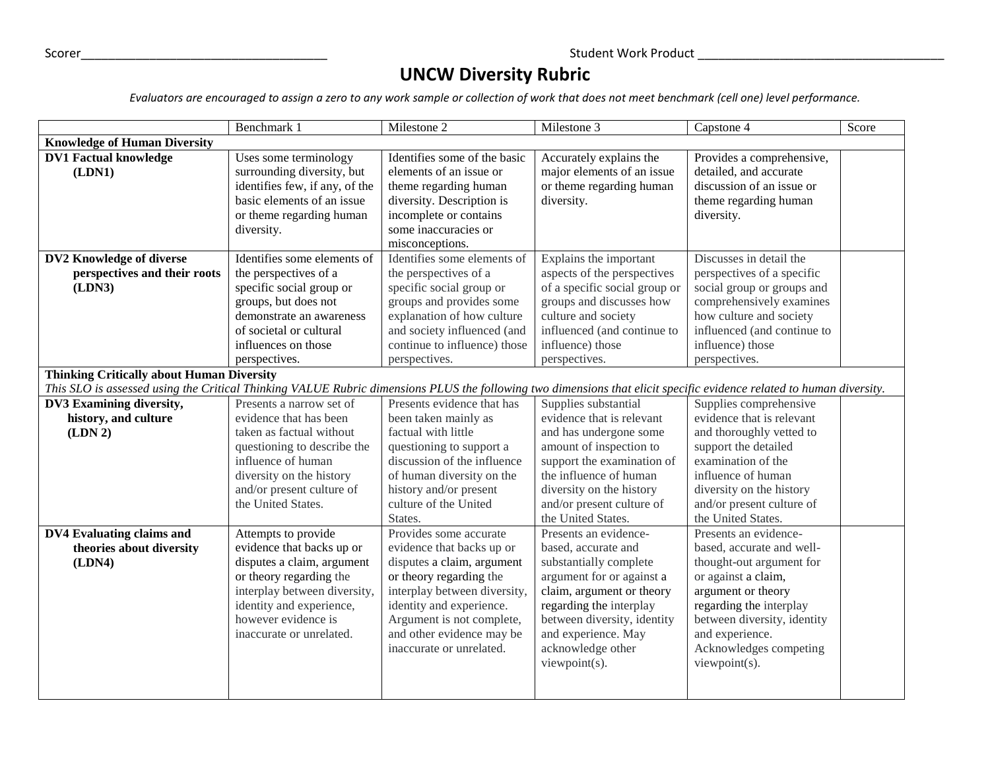## **UNCW Diversity Rubric**

*Evaluators are encouraged to assign a zero to any work sample or collection of work that does not meet benchmark (cell one) level performance.*

|                                                                                                                                                                      | Benchmark 1                    | Milestone 2                  | Milestone 3                   | Capstone 4                  | Score |
|----------------------------------------------------------------------------------------------------------------------------------------------------------------------|--------------------------------|------------------------------|-------------------------------|-----------------------------|-------|
| <b>Knowledge of Human Diversity</b>                                                                                                                                  |                                |                              |                               |                             |       |
| <b>DV1 Factual knowledge</b>                                                                                                                                         | Uses some terminology          | Identifies some of the basic | Accurately explains the       | Provides a comprehensive,   |       |
| (LDN1)                                                                                                                                                               | surrounding diversity, but     | elements of an issue or      | major elements of an issue    | detailed, and accurate      |       |
|                                                                                                                                                                      | identifies few, if any, of the | theme regarding human        | or theme regarding human      | discussion of an issue or   |       |
|                                                                                                                                                                      | basic elements of an issue     | diversity. Description is    | diversity.                    | theme regarding human       |       |
|                                                                                                                                                                      | or theme regarding human       | incomplete or contains       |                               | diversity.                  |       |
|                                                                                                                                                                      | diversity.                     | some inaccuracies or         |                               |                             |       |
|                                                                                                                                                                      |                                | misconceptions.              |                               |                             |       |
| DV2 Knowledge of diverse                                                                                                                                             | Identifies some elements of    | Identifies some elements of  | Explains the important        | Discusses in detail the     |       |
| perspectives and their roots                                                                                                                                         | the perspectives of a          | the perspectives of a        | aspects of the perspectives   | perspectives of a specific  |       |
| (LDN3)                                                                                                                                                               | specific social group or       | specific social group or     | of a specific social group or | social group or groups and  |       |
|                                                                                                                                                                      | groups, but does not           | groups and provides some     | groups and discusses how      | comprehensively examines    |       |
|                                                                                                                                                                      | demonstrate an awareness       | explanation of how culture   | culture and society           | how culture and society     |       |
|                                                                                                                                                                      | of societal or cultural        | and society influenced (and  | influenced (and continue to   | influenced (and continue to |       |
|                                                                                                                                                                      | influences on those            | continue to influence) those | influence) those              | influence) those            |       |
|                                                                                                                                                                      | perspectives.                  | perspectives.                | perspectives.                 | perspectives.               |       |
| <b>Thinking Critically about Human Diversity</b>                                                                                                                     |                                |                              |                               |                             |       |
| This SLO is assessed using the Critical Thinking VALUE Rubric dimensions PLUS the following two dimensions that elicit specific evidence related to human diversity. |                                |                              |                               |                             |       |
| DV3 Examining diversity,                                                                                                                                             | Presents a narrow set of       | Presents evidence that has   | Supplies substantial          | Supplies comprehensive      |       |
| history, and culture                                                                                                                                                 | evidence that has been         | been taken mainly as         | evidence that is relevant     | evidence that is relevant   |       |
| (LDN 2)                                                                                                                                                              | taken as factual without       | factual with little          | and has undergone some        | and thoroughly vetted to    |       |
|                                                                                                                                                                      | questioning to describe the    | questioning to support a     | amount of inspection to       | support the detailed        |       |
|                                                                                                                                                                      | influence of human             | discussion of the influence  | support the examination of    | examination of the          |       |
|                                                                                                                                                                      | diversity on the history       | of human diversity on the    | the influence of human        | influence of human          |       |
|                                                                                                                                                                      | and/or present culture of      | history and/or present       | diversity on the history      | diversity on the history    |       |
|                                                                                                                                                                      | the United States.             | culture of the United        | and/or present culture of     | and/or present culture of   |       |
|                                                                                                                                                                      |                                | States.                      | the United States.            | the United States.          |       |
| DV4 Evaluating claims and                                                                                                                                            | Attempts to provide            | Provides some accurate       | Presents an evidence-         | Presents an evidence-       |       |
| theories about diversity                                                                                                                                             | evidence that backs up or      | evidence that backs up or    | based, accurate and           | based, accurate and well-   |       |
| (LDN4)                                                                                                                                                               | disputes a claim, argument     | disputes a claim, argument   | substantially complete        | thought-out argument for    |       |
|                                                                                                                                                                      | or theory regarding the        | or theory regarding the      | argument for or against a     | or against a claim,         |       |
|                                                                                                                                                                      | interplay between diversity,   | interplay between diversity, | claim, argument or theory     | argument or theory          |       |
|                                                                                                                                                                      | identity and experience,       | identity and experience.     | regarding the interplay       | regarding the interplay     |       |
|                                                                                                                                                                      | however evidence is            | Argument is not complete,    | between diversity, identity   | between diversity, identity |       |
|                                                                                                                                                                      | inaccurate or unrelated.       | and other evidence may be    | and experience. May           | and experience.             |       |
|                                                                                                                                                                      |                                | inaccurate or unrelated.     | acknowledge other             | Acknowledges competing      |       |
|                                                                                                                                                                      |                                |                              | viewpoint(s).                 | viewpoint(s).               |       |
|                                                                                                                                                                      |                                |                              |                               |                             |       |
|                                                                                                                                                                      |                                |                              |                               |                             |       |